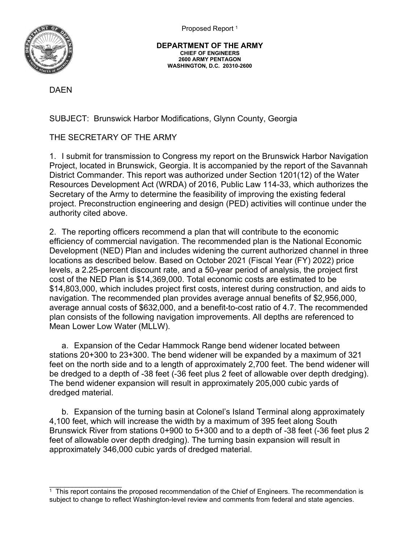Proposed Report<sup>1</sup>



**DEPARTMENT OF THE ARMY CHIEF OF ENGINEERS 2600 ARMY PENTAGON WASHINGTON, D.C. 20310-2600**

DAEN

SUBJECT: Brunswick Harbor Modifications, Glynn County, Georgia

THE SECRETARY OF THE ARMY

1. I submit for transmission to Congress my report on the Brunswick Harbor Navigation Project, located in Brunswick, Georgia. It is accompanied by the report of the Savannah District Commander. This report was authorized under Section 1201(12) of the Water Resources Development Act (WRDA) of 2016, Public Law 114-33, which authorizes the Secretary of the Army to determine the feasibility of improving the existing federal project. Preconstruction engineering and design (PED) activities will continue under the authority cited above.

2. The reporting officers recommend a plan that will contribute to the economic efficiency of commercial navigation. The recommended plan is the National Economic Development (NED) Plan and includes widening the current authorized channel in three locations as described below. Based on October 2021 (Fiscal Year (FY) 2022) price levels, a 2.25-percent discount rate, and a 50-year period of analysis, the project first cost of the NED Plan is \$14,369,000. Total economic costs are estimated to be \$14,803,000, which includes project first costs, interest during construction, and aids to navigation. The recommended plan provides average annual benefits of \$2,956,000, average annual costs of \$632,000, and a benefit-to-cost ratio of 4.7. The recommended plan consists of the following navigation improvements. All depths are referenced to Mean Lower Low Water (MLLW).

a. Expansion of the Cedar Hammock Range bend widener located between stations 20+300 to 23+300. The bend widener will be expanded by a maximum of 321 feet on the north side and to a length of approximately 2,700 feet. The bend widener will be dredged to a depth of -38 feet (-36 feet plus 2 feet of allowable over depth dredging). The bend widener expansion will result in approximately 205,000 cubic yards of dredged material.

b. Expansion of the turning basin at Colonel's Island Terminal along approximately 4,100 feet, which will increase the width by a maximum of 395 feet along South Brunswick River from stations 0+900 to 5+300 and to a depth of -38 feet (-36 feet plus 2 feet of allowable over depth dredging). The turning basin expansion will result in approximately 346,000 cubic yards of dredged material.

\_\_\_\_\_\_\_\_\_\_\_\_\_\_\_\_\_\_\_  $1$  This report contains the proposed recommendation of the Chief of Engineers. The recommendation is subject to change to reflect Washington-level review and comments from federal and state agencies.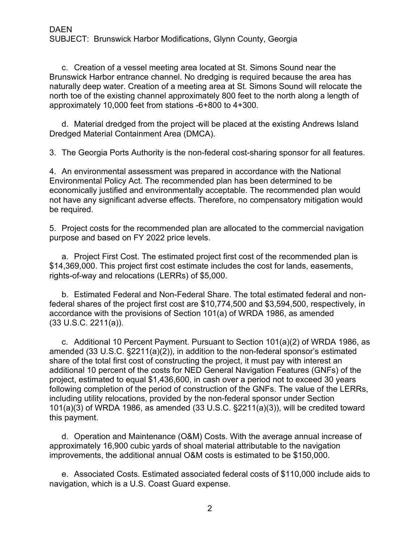c. Creation of a vessel meeting area located at St. Simons Sound near the Brunswick Harbor entrance channel. No dredging is required because the area has naturally deep water. Creation of a meeting area at St. Simons Sound will relocate the north toe of the existing channel approximately 800 feet to the north along a length of approximately 10,000 feet from stations -6+800 to 4+300.

d. Material dredged from the project will be placed at the existing Andrews Island Dredged Material Containment Area (DMCA).

3. The Georgia Ports Authority is the non-federal cost-sharing sponsor for all features.

4. An environmental assessment was prepared in accordance with the National Environmental Policy Act. The recommended plan has been determined to be economically justified and environmentally acceptable. The recommended plan would not have any significant adverse effects. Therefore, no compensatory mitigation would be required.

5. Project costs for the recommended plan are allocated to the commercial navigation purpose and based on FY 2022 price levels.

a. Project First Cost. The estimated project first cost of the recommended plan is \$14,369,000. This project first cost estimate includes the cost for lands, easements, rights-of-way and relocations (LERRs) of \$5,000.

b. Estimated Federal and Non-Federal Share. The total estimated federal and nonfederal shares of the project first cost are \$10,774,500 and \$3,594,500, respectively, in accordance with the provisions of Section 101(a) of WRDA 1986, as amended (33 U.S.C. 2211(a)).

c. Additional 10 Percent Payment. Pursuant to Section 101(a)(2) of WRDA 1986, as amended (33 U.S.C. §2211(a)(2)), in addition to the non-federal sponsor's estimated share of the total first cost of constructing the project, it must pay with interest an additional 10 percent of the costs for NED General Navigation Features (GNFs) of the project, estimated to equal \$1,436,600, in cash over a period not to exceed 30 years following completion of the period of construction of the GNFs. The value of the LERRs, including utility relocations, provided by the non-federal sponsor under Section 101(a)(3) of WRDA 1986, as amended (33 U.S.C. §2211(a)(3)), will be credited toward this payment.

d. Operation and Maintenance (O&M) Costs. With the average annual increase of approximately 16,900 cubic yards of shoal material attributable to the navigation improvements, the additional annual O&M costs is estimated to be \$150,000.

e. Associated Costs. Estimated associated federal costs of \$110,000 include aids to navigation, which is a U.S. Coast Guard expense.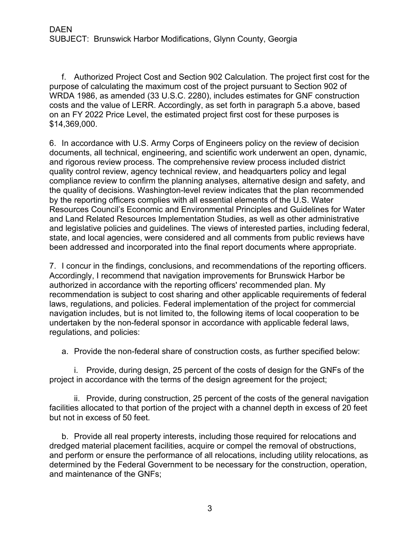f. Authorized Project Cost and Section 902 Calculation. The project first cost for the purpose of calculating the maximum cost of the project pursuant to Section 902 of WRDA 1986, as amended (33 U.S.C. 2280), includes estimates for GNF construction costs and the value of LERR. Accordingly, as set forth in paragraph 5.a above, based on an FY 2022 Price Level, the estimated project first cost for these purposes is \$14,369,000.

6. In accordance with U.S. Army Corps of Engineers policy on the review of decision documents, all technical, engineering, and scientific work underwent an open, dynamic, and rigorous review process. The comprehensive review process included district quality control review, agency technical review, and headquarters policy and legal compliance review to confirm the planning analyses, alternative design and safety, and the quality of decisions. Washington-level review indicates that the plan recommended by the reporting officers complies with all essential elements of the U.S. Water Resources Council's Economic and Environmental Principles and Guidelines for Water and Land Related Resources Implementation Studies, as well as other administrative and legislative policies and guidelines. The views of interested parties, including federal, state, and local agencies, were considered and all comments from public reviews have been addressed and incorporated into the final report documents where appropriate.

7. I concur in the findings, conclusions, and recommendations of the reporting officers. Accordingly, I recommend that navigation improvements for Brunswick Harbor be authorized in accordance with the reporting officers' recommended plan. My recommendation is subject to cost sharing and other applicable requirements of federal laws, regulations, and policies. Federal implementation of the project for commercial navigation includes, but is not limited to, the following items of local cooperation to be undertaken by the non-federal sponsor in accordance with applicable federal laws, regulations, and policies:

a. Provide the non-federal share of construction costs, as further specified below:

i. Provide, during design, 25 percent of the costs of design for the GNFs of the project in accordance with the terms of the design agreement for the project;

ii. Provide, during construction, 25 percent of the costs of the general navigation facilities allocated to that portion of the project with a channel depth in excess of 20 feet but not in excess of 50 feet.

b. Provide all real property interests, including those required for relocations and dredged material placement facilities, acquire or compel the removal of obstructions, and perform or ensure the performance of all relocations, including utility relocations, as determined by the Federal Government to be necessary for the construction, operation, and maintenance of the GNFs;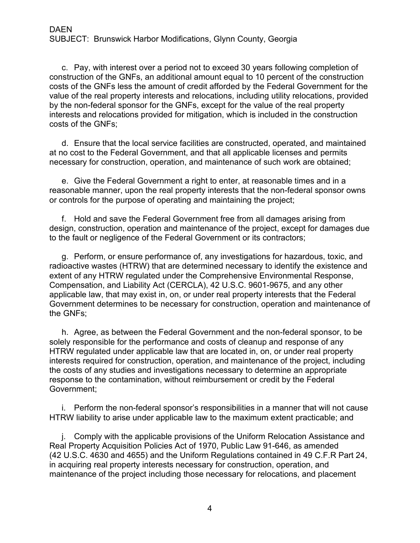c. Pay, with interest over a period not to exceed 30 years following completion of construction of the GNFs, an additional amount equal to 10 percent of the construction costs of the GNFs less the amount of credit afforded by the Federal Government for the value of the real property interests and relocations, including utility relocations, provided by the non-federal sponsor for the GNFs, except for the value of the real property interests and relocations provided for mitigation, which is included in the construction costs of the GNFs;

d. Ensure that the local service facilities are constructed, operated, and maintained at no cost to the Federal Government, and that all applicable licenses and permits necessary for construction, operation, and maintenance of such work are obtained;

e. Give the Federal Government a right to enter, at reasonable times and in a reasonable manner, upon the real property interests that the non-federal sponsor owns or controls for the purpose of operating and maintaining the project;

f. Hold and save the Federal Government free from all damages arising from design, construction, operation and maintenance of the project, except for damages due to the fault or negligence of the Federal Government or its contractors;

g. Perform, or ensure performance of, any investigations for hazardous, toxic, and radioactive wastes (HTRW) that are determined necessary to identify the existence and extent of any HTRW regulated under the Comprehensive Environmental Response, Compensation, and Liability Act (CERCLA), 42 U.S.C. 9601-9675, and any other applicable law, that may exist in, on, or under real property interests that the Federal Government determines to be necessary for construction, operation and maintenance of the GNFs;

h. Agree, as between the Federal Government and the non-federal sponsor, to be solely responsible for the performance and costs of cleanup and response of any HTRW regulated under applicable law that are located in, on, or under real property interests required for construction, operation, and maintenance of the project, including the costs of any studies and investigations necessary to determine an appropriate response to the contamination, without reimbursement or credit by the Federal Government;

i. Perform the non-federal sponsor's responsibilities in a manner that will not cause HTRW liability to arise under applicable law to the maximum extent practicable; and

j. Comply with the applicable provisions of the Uniform Relocation Assistance and Real Property Acquisition Policies Act of 1970, Public Law 91-646, as amended (42 U.S.C. 4630 and 4655) and the Uniform Regulations contained in 49 C.F.R Part 24, in acquiring real property interests necessary for construction, operation, and maintenance of the project including those necessary for relocations, and placement